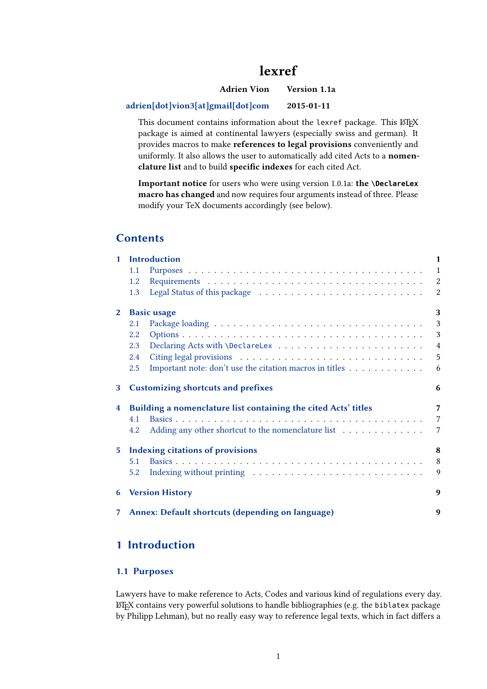# lexref

Adrien Vion Version 1.1a

#### [adrien\[dot\]vion3\[at\]gmail\[dot\]com](mailto:adrien[dot]vion3[at]gmail[dot]com) 2015-01-11

This document contains information about the lexref package. This LATEX package is aimed at continental lawyers (especially swiss and german). It provides macros to make references to legal provisions conveniently and uniformly. It also allows the user to automatically add cited Acts to a nomenclature list and to build specific indexes for each cited Act.

Important notice for users who were using version 1.0.1a: the **\DeclareLex** macro has changed and now requires four arguments instead of three. Please modify your TeX documents accordingly (see below).

### **Contents**

|                | 1 Introduction                                                 |                                                                                   |                |  |
|----------------|----------------------------------------------------------------|-----------------------------------------------------------------------------------|----------------|--|
|                | 1.1                                                            |                                                                                   | $\mathbf{1}$   |  |
|                | 1.2                                                            |                                                                                   |                |  |
|                | 1.3                                                            |                                                                                   | $\overline{2}$ |  |
| $\mathbf{2}$   | 3<br><b>Basic usage</b>                                        |                                                                                   |                |  |
|                | 2.1                                                            |                                                                                   | 3              |  |
|                | 2.2                                                            |                                                                                   | 3              |  |
|                | 2.3                                                            |                                                                                   | $\overline{4}$ |  |
|                | 2.4                                                            |                                                                                   | 5              |  |
|                | 2.5                                                            | Important note: don't use the citation macros in titles $\dots \dots \dots \dots$ | 6              |  |
| 3              |                                                                | <b>Customizing shortcuts and prefixes</b>                                         | 6              |  |
| $\overline{4}$ | Building a nomenclature list containing the cited Acts' titles |                                                                                   |                |  |
|                | 4.1                                                            |                                                                                   | $\overline{7}$ |  |
|                | 4.2                                                            | Adding any other shortcut to the nomenclature list                                | $\overline{7}$ |  |
| 5 <sup>1</sup> |                                                                | <b>Indexing citations of provisions</b>                                           | 8              |  |
|                | 5.1                                                            |                                                                                   | 8              |  |
|                | 5.2                                                            |                                                                                   | 9              |  |
|                |                                                                | <b>6</b> Version History                                                          | 9              |  |
| 7 <sup>7</sup> |                                                                | Annex: Default shortcuts (depending on language)                                  | 9              |  |

### 1 Introduction

#### 1.1 Purposes

Lawyers have to make reference to Acts, Codes and various kind of regulations every day. LATEX contains very powerful solutions to handle bibliographies (e.g. the biblatex package by Philipp Lehman), but no really easy way to reference legal texts, which in fact differs a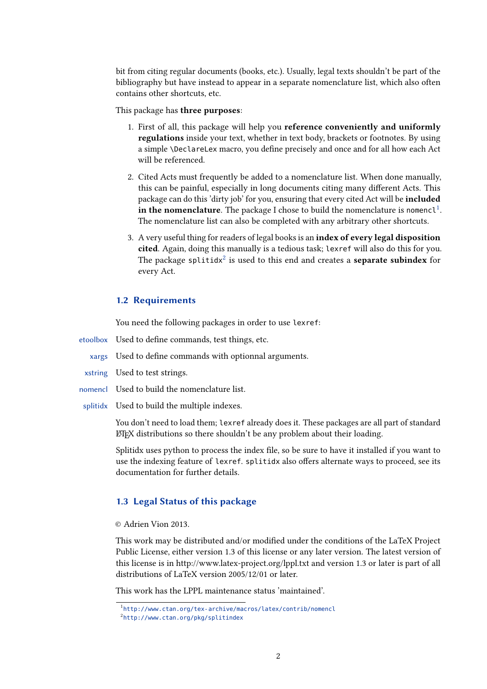<span id="page-1-0"></span>bit from citing regular documents (books, etc.). Usually, legal texts shouldn't be part of the bibliography but have instead to appear in a separate nomenclature list, which also often contains other shortcuts, etc.

This package has three purposes:

- 1. First of all, this package will help you reference conveniently and uniformly regulations inside your text, whether in text body, brackets or footnotes. By using a simple \DeclareLex macro, you define precisely and once and for all how each Act will be referenced.
- 2. Cited Acts must frequently be added to a nomenclature list. When done manually, this can be painful, especially in long documents citing many different Acts. This package can do this 'dirty job' for you, ensuring that every cited Act will be included in the nomenclature. The package I chose to build the nomenclature is nomencl<sup>1</sup>. The nomenclature list can also be completed with any arbitrary other shortcuts.
- 3. A very useful thing for readers of legal books is an index of every legal disposition cited. Again, doing this manually is a tedious task; lexref will also do this for you. The package splitidx $^2$  is used to this end and creates a  $\boldsymbol{s}$  eparate  $\boldsymbol{s}$ ubindex for every Act.

#### 1.2 Requirements

You need the following packages in order to use lexref:

etoolbox Used to define commands, test things, etc.

- xargs Used to define commands with optionnal arguments.
- xstring Used to test strings.
- nomencl Used to build the nomenclature list.
- splitidx Used to build the multiple indexes.

You don't need to load them; lexref already does it. These packages are all part of standard LATEX distributions so there shouldn't be any problem about their loading.

Splitidx uses python to process the index file, so be sure to have it installed if you want to use the indexing feature of lexref. splitidx also offers alternate ways to proceed, see its documentation for further details.

#### 1.3 Legal Status of this package

#### © Adrien Vion 2013.

This work may be distributed and/or modified under the conditions of the LaTeX Project Public License, either version 1.3 of this license or any later version. The latest version of this license is in http://www.latex-project.org/lppl.txt and version 1.3 or later is part of all distributions of LaTeX version 2005/12/01 or later.

This work has the LPPL maintenance status 'maintained'.

<sup>1</sup> <http://www.ctan.org/tex-archive/macros/latex/contrib/nomencl>

<sup>2</sup> <http://www.ctan.org/pkg/splitindex>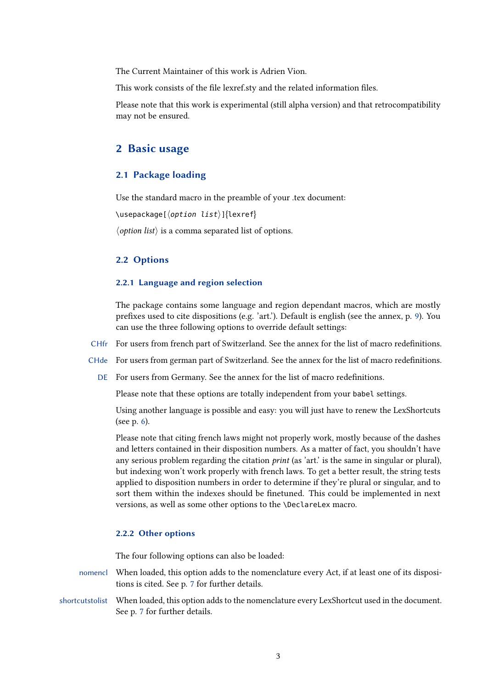<span id="page-2-0"></span>The Current Maintainer of this work is Adrien Vion.

This work consists of the file lexref.sty and the related information files.

Please note that this work is experimental (still alpha version) and that retrocompatibility may not be ensured.

### 2 Basic usage

#### 2.1 Package loading

Use the standard macro in the preamble of your .tex document:

\usepackage[ $\langle$ option list $\rangle$ ]{lexref}

 $\langle$  *option list* $\rangle$  is a comma separated list of options.

#### 2.2 Options

#### 2.2.1 Language and region selection

The package contains some language and region dependant macros, which are mostly prefixes used to cite dispositions (e.g. 'art.'). Default is english (see the annex, p. [9\)](#page-8-0). You can use the three following options to override default settings:

- CHfr For users from french part of Switzerland. See the annex for the list of macro redefinitions.
- CHde For users from german part of Switzerland. See the annex for the list of macro redefinitions.

DE For users from Germany. See the annex for the list of macro redefinitions.

Please note that these options are totally independent from your babel settings.

Using another language is possible and easy: you will just have to renew the LexShortcuts (see p. [6\)](#page-5-0).

Please note that citing french laws might not properly work, mostly because of the dashes and letters contained in their disposition numbers. As a matter of fact, you shouldn't have any serious problem regarding the citation *print* (as 'art.' is the same in singular or plural), but indexing won't work properly with french laws. To get a better result, the string tests applied to disposition numbers in order to determine if they're plural or singular, and to sort them within the indexes should be finetuned. This could be implemented in next versions, as well as some other options to the \DeclareLex macro.

#### 2.2.2 Other options

The four following options can also be loaded:

- nomencl When loaded, this option adds to the nomenclature every Act, if at least one of its dispositions is cited. See p. [7](#page-6-0) for further details.
- shortcutstolist When loaded, this option adds to the nomenclature every LexShortcut used in the document. See p. [7](#page-6-0) for further details.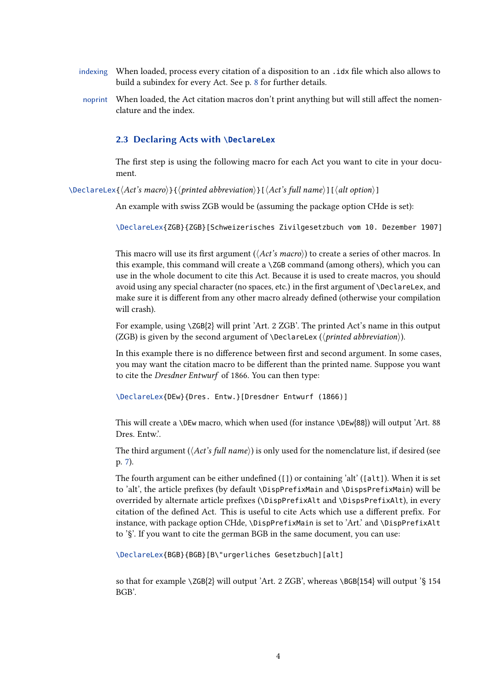- <span id="page-3-0"></span>indexing When loaded, process every citation of a disposition to an . idx file which also allows to build a subindex for every Act. See p. [8](#page-7-0) for further details.
- noprint When loaded, the Act citation macros don't print anything but will still affect the nomenclature and the index.

#### 2.3 Declaring Acts with **\DeclareLex**

The first step is using the following macro for each Act you want to cite in your document.

 $\Delta$ \DeclareLex{ $\langle$ Act's macro}}{ $\langle$ printed abbreviation}][ $\langle$ Act's full name}][ $\langle$ alt option}]

An example with swiss ZGB would be (assuming the package option CHde is set):

\DeclareLex{ZGB}{ZGB}[Schweizerisches Zivilgesetzbuch vom 10. Dezember 1907]

This macro will use its first argument ( $\langle Act's\ macro\rangle$ ) to create a series of other macros. In this example, this command will create a  $\angle$ ZGB command (among others), which you can use in the whole document to cite this Act. Because it is used to create macros, you should avoid using any special character (no spaces, etc.) in the first argument of \DeclareLex, and make sure it is different from any other macro already defined (otherwise your compilation will crash).

For example, using \ZGB{2} will print 'Art. 2 ZGB'. The printed Act's name in this output (ZGB) is given by the second argument of \DeclareLex ( $\langle$ *printed abbreviation* $\rangle$ ).

In this example there is no difference between first and second argument. In some cases, you may want the citation macro to be different than the printed name. Suppose you want to cite the Dresdner Entwurf of 1866. You can then type:

\DeclareLex{DEw}{Dres. Entw.}[Dresdner Entwurf (1866)]

This will create a \DEw macro, which when used (for instance \DEw{88}) will output 'Art. 88 Dres. Entw.'.

The third argument ( $\langle Act's full name \rangle$ ) is only used for the nomenclature list, if desired (see p. [7\)](#page-6-0).

The fourth argument can be either undefined  $([1] )$  or containing 'alt'  $([alt])$ . When it is set to 'alt', the article prefixes (by default \DispPrefixMain and \DispsPrefixMain) will be overrided by alternate article prefixes (\DispPrefixAlt and \DispsPrefixAlt), in every citation of the defined Act. This is useful to cite Acts which use a different prefix. For instance, with package option CHde, \DispPrefixMain is set to 'Art.' and \DispPrefixAlt to '§'. If you want to cite the german BGB in the same document, you can use:

\DeclareLex{BGB}{BGB}[B\"urgerliches Gesetzbuch][alt]

so that for example \ZGB{2} will output 'Art. 2 ZGB', whereas \BGB{154} will output '§ 154 BGB'.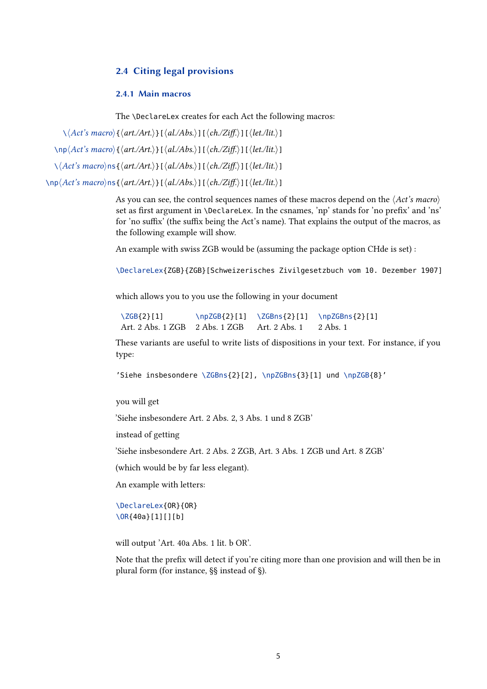#### <span id="page-4-0"></span>2.4 Citing legal provisions

#### 2.4.1 Main macros

The \DeclareLex creates for each Act the following macros:

 $\setminus\langle Act\hat{s}~macro\rangle{\{\langle art./Art.\rangle\}}[\langle al./Abs.\rangle][\langle ch./Ziff.\rangle][\langle let/lit.\rangle]$ 

 $\np\langle Act's\ macro\rangle\{\langle art.Art.\rangle\}[\langle al.Abs.\rangle][\langle ch.Ziff.\rangle][\langle let/lit.\rangle]$ 

 $\setminus$   $\langle$  *Act's macro* $\rangle$ ns{ $\langle$  *art./Art.* $\rangle$ }[ $\langle$  *al./Abs.* $\rangle$ ][ $\langle$  *ch./Ziff.* $\rangle$ ][ $\langle$  *let./lit.* $\rangle$ ]

 $\np\langle Act's\ macro\rangle$ ns{ $\langle art./Art.\rangle$ ][ $\langle al.Abs.\rangle$ ][ $\langle ch./Ziff.\rangle$ ][ $\langle let./lit.\rangle$ ]

As you can see, the control sequences names of these macros depend on the  $\langle Act\hat{s}$  macro $\rangle$ set as first argument in \DeclareLex. In the csnames, 'np' stands for 'no prefix' and 'ns' for 'no suffix' (the suffix being the Act's name). That explains the output of the macros, as the following example will show.

An example with swiss ZGB would be (assuming the package option CHde is set) :

\DeclareLex{ZGB}{ZGB}[Schweizerisches Zivilgesetzbuch vom 10. Dezember 1907]

which allows you to you use the following in your document

\ZGB{2}[1] \npZGB{2}[1] \ZGBns{2}[1] \npZGBns{2}[1] Art. 2 Abs. 1 ZGB 2 Abs. 1 ZGB Art. 2 Abs. 1 2 Abs. 1

These variants are useful to write lists of dispositions in your text. For instance, if you type:

'Siehe insbesondere \ZGBns{2}[2], \npZGBns{3}[1] und \npZGB{8}'

you will get

'Siehe insbesondere Art. 2 Abs. 2, 3 Abs. 1 und 8 ZGB'

instead of getting

'Siehe insbesondere Art. 2 Abs. 2 ZGB, Art. 3 Abs. 1 ZGB und Art. 8 ZGB'

(which would be by far less elegant).

An example with letters:

\DeclareLex{OR}{OR} \OR{40a}[1][][b]

will output 'Art. 40a Abs. 1 lit. b OR'.

Note that the prefix will detect if you're citing more than one provision and will then be in plural form (for instance, §§ instead of §).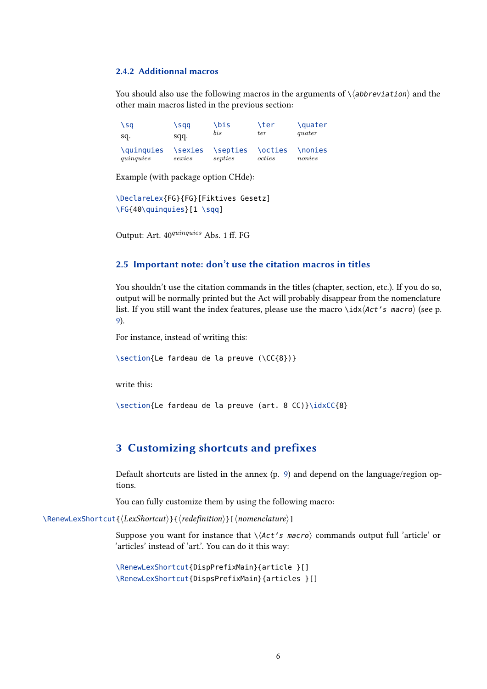#### <span id="page-5-0"></span>2.4.2 Additionnal macros

You should also use the following macros in the arguments of  $\langle \langle abbrevation \rangle$  and the other main macros listed in the previous section:

 $\setminus \text{sq}$   $\setminus \text{sq}$   $\setminus \text{e}$   $\setminus \text{e}$   $\setminus \text{e}$   $\setminus \text{e}$   $\setminus \text{e}$   $\setminus \text{e}$   $\setminus \text{e}$   $\setminus \text{e}$   $\setminus \text{e}$   $\setminus \text{e}$   $\setminus \text{e}$   $\setminus \text{e}$   $\setminus \text{e}$   $\setminus \text{e}$   $\setminus \text{e}$   $\setminus \text{e}$   $\setminus \text{e}$   $\setminus \text{e}$  sq. sqq. *bis ter quater* \quinquies \sexies \septies \octies \nonies *quinquies sexies septies octies nonies*

Example (with package option CHde):

```
\DeclareLex{FG}{FG}[Fiktives Gesetz]
\FG{40\quinquies}[1 \sqq]
```
Output: Art.  $40^{quinquies}$  Abs. 1 ff. FG

#### 2.5 Important note: don't use the citation macros in titles

You shouldn't use the citation commands in the titles (chapter, section, etc.). If you do so, output will be normally printed but the Act will probably disappear from the nomenclature list. If you still want the index features, please use the macro \idx $\langle$ Act's macro\ (see p. [9\)](#page-8-0).

For instance, instead of writing this:

\section{Le fardeau de la preuve (\CC{8})}

write this:

\section{Le fardeau de la preuve (art. 8 CC)}\idxCC{8}

### 3 Customizing shortcuts and prefixes

Default shortcuts are listed in the annex (p. [9\)](#page-8-0) and depend on the language/region options.

You can fully customize them by using the following macro:

\RenewLexShortcut{ $\langle LexShortcut{\rangle}{\langle redefinition{\rangle}[nomenclature{\rangle}]$ 

Suppose you want for instance that  $\langle Act's \text{ macro} \rangle$  commands output full 'article' or 'articles' instead of 'art.'. You can do it this way:

\RenewLexShortcut{DispPrefixMain}{article }[] \RenewLexShortcut{DispsPrefixMain}{articles }[]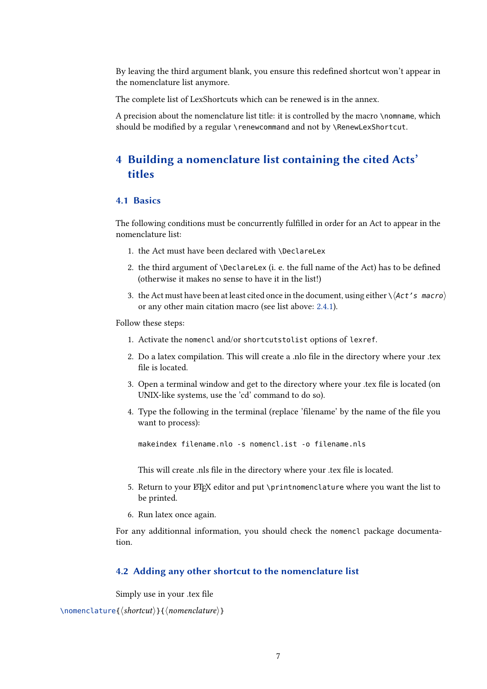<span id="page-6-0"></span>By leaving the third argument blank, you ensure this redened shortcut won't appear in the nomenclature list anymore.

The complete list of LexShortcuts which can be renewed is in the annex.

A precision about the nomenclature list title: it is controlled by the macro \nomname, which should be modified by a regular \renewcommand and not by \RenewLexShortcut.

### 4 Building a nomenclature list containing the cited Acts' titles

#### 4.1 Basics

The following conditions must be concurrently fulfilled in order for an Act to appear in the nomenclature list:

- 1. the Act must have been declared with \DeclareLex
- 2. the third argument of  $\Delta E$  (i. e. the full name of the Act) has to be defined (otherwise it makes no sense to have it in the list!)
- 3. the Act must have been at least cited once in the document, using either  $\setminus$  (Act's macro) or any other main citation macro (see list above: [2.4.1\)](#page-4-0).

Follow these steps:

- 1. Activate the nomencl and/or shortcutstolist options of lexref.
- 2. Do a latex compilation. This will create a .nlo file in the directory where your .tex file is located.
- 3. Open a terminal window and get to the directory where your .tex file is located (on UNIX-like systems, use the 'cd' command to do so).
- 4. Type the following in the terminal (replace 'filename' by the name of the file you want to process):

makeindex filename.nlo -s nomencl.ist -o filename.nls

This will create .nls file in the directory where your .tex file is located.

- 5. Return to your ETEX editor and put \printnomenclature where you want the list to be printed.
- 6. Run latex once again.

For any additionnal information, you should check the nomencl package documentation.

#### 4.2 Adding any other shortcut to the nomenclature list

Simply use in your .tex file

```
\nomenclature{\langle shortcut\rangle}{\langle nomenclature\rangle}
```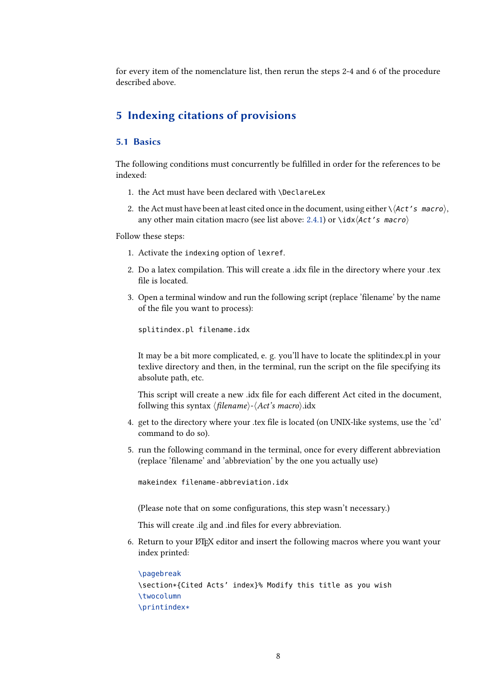<span id="page-7-0"></span>for every item of the nomenclature list, then rerun the steps 2-4 and 6 of the procedure described above.

### 5 Indexing citations of provisions

#### 5.1 Basics

The following conditions must concurrently be fulfilled in order for the references to be indexed:

- 1. the Act must have been declared with \DeclareLex
- 2. the Act must have been at least cited once in the document, using either  $\setminus \langle Act's \text{ macro} \rangle$ , any other main citation macro (see list above: [2.4.1\)](#page-4-0) or \idx $\langle$ Act's macro $\rangle$

Follow these steps:

- 1. Activate the indexing option of lexref.
- 2. Do a latex compilation. This will create a .idx file in the directory where your .tex file is located.
- 3. Open a terminal window and run the following script (replace 'filename' by the name of the file you want to process):

splitindex.pl filename.idx

It may be a bit more complicated, e. g. you'll have to locate the splitindex.pl in your texlive directory and then, in the terminal, run the script on the file specifying its absolute path, etc.

This script will create a new .idx file for each different Act cited in the document, follwing this syntax  $\langle$  filename $\rangle$ - $\langle$ Act's macro $\rangle$ .idx

- 4. get to the directory where your .tex file is located (on UNIX-like systems, use the 'cd' command to do so).
- 5. run the following command in the terminal, once for every different abbreviation (replace 'filename' and 'abbreviation' by the one you actually use)

makeindex filename-abbreviation.idx

(Please note that on some configurations, this step wasn't necessary.)

This will create .ilg and .ind files for every abbreviation.

6. Return to your LATEX editor and insert the following macros where you want your index printed:

```
\pagebreak
\section*{Cited Acts' index}% Modify this title as you wish
\twocolumn
\printindex*
```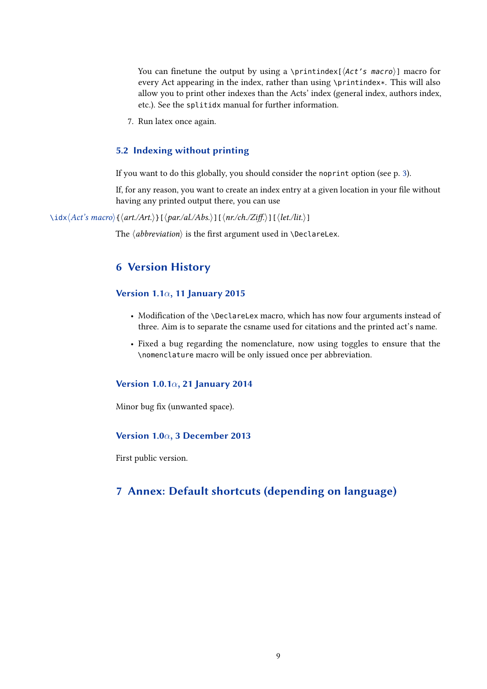<span id="page-8-0"></span>You can finetune the output by using a \printindex[ $\langle$ Act's macro $\rangle$ ] macro for every Act appearing in the index, rather than using \printindex\*. This will also allow you to print other indexes than the Acts' index (general index, authors index, etc.). See the splitidx manual for further information.

7. Run latex once again.

#### 5.2 Indexing without printing

If you want to do this globally, you should consider the noprint option (see p. [3\)](#page-2-0).

If, for any reason, you want to create an index entry at a given location in your file without having any printed output there, you can use

 $\iota\idx\langle Act\acute{s}~macro\rangle{\{\langle art./Art.\rangle\}}[~\langle par/al./Abs.\rangle][~\langle nr/ch./Ziff.\rangle][~\langle let./lit.\rangle]$ 

The  $\langle abbreviation \rangle$  is the first argument used in \DeclareLex.

### 6 Version History

#### Version 1.1*α*, 11 January 2015

- Modification of the \DeclareLex macro, which has now four arguments instead of three. Aim is to separate the csname used for citations and the printed act's name.
- Fixed a bug regarding the nomenclature, now using toggles to ensure that the \nomenclature macro will be only issued once per abbreviation.

#### Version 1.0.1*α*, 21 January 2014

Minor bug fix (unwanted space).

#### Version 1.0*α*, 3 December 2013

First public version.

## 7 Annex: Default shortcuts (depending on language)